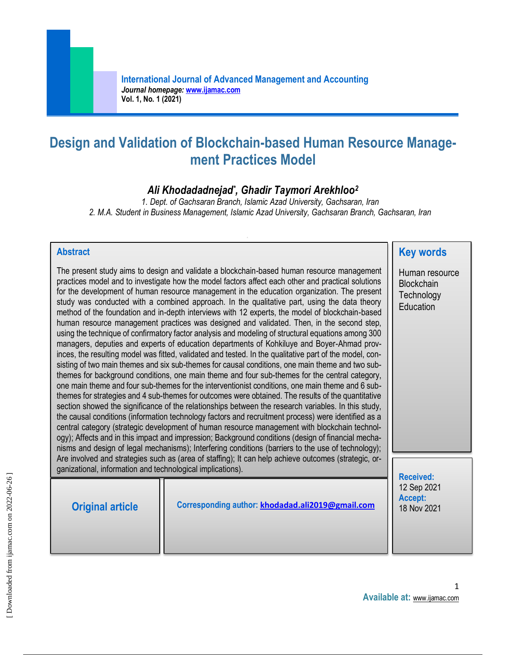# **Design and Validation of Blockchain-based Human Resource Management Practices Model**

# *Ali Khodadadnejad\* , Ghadir Taymori Arekhloo<sup>2</sup>*

*1. Dept. of Gachsaran Branch, Islamic Azad University, Gachsaran, Iran 2. M.A. Student in Business Management, Islamic Azad University, Gachsaran Branch, Gachsaran, Iran*

#### **Abstract**

The present study aims to design and validate a blockchain-based human resource management practices model and to investigate how the model factors affect each other and practical solutions for the development of human resource management in the education organization. The present study was conducted with a combined approach. In the qualitative part, using the data theory method of the foundation and in-depth interviews with 12 experts, the model of blockchain-based human resource management practices was designed and validated. Then, in the second step, using the technique of confirmatory factor analysis and modeling of structural equations among 300 managers, deputies and experts of education departments of Kohkiluye and Boyer-Ahmad provinces, the resulting model was fitted, validated and tested. In the qualitative part of the model, consisting of two main themes and six sub-themes for causal conditions, one main theme and two subthemes for background conditions, one main theme and four sub-themes for the central category, one main theme and four sub-themes for the interventionist conditions, one main theme and 6 subthemes for strategies and 4 sub-themes for outcomes were obtained. The results of the quantitative section showed the significance of the relationships between the research variables. In this study, the causal conditions (information technology factors and recruitment process) were identified as a central category (strategic development of human resource management with blockchain technology); Affects and in this impact and impression; Background conditions (design of financial mechanisms and design of legal mechanisms); Interfering conditions (barriers to the use of technology); Are involved and strategies such as (area of staffing); It can help achieve outcomes (strategic, organizational, information and technological implications). **Received:**

| <b>Original article</b> | Corresponding author: khodadad.ali2019@gmail.com | <b>Received:</b><br>12 Sep 2021<br>Accept:<br>18 Nov 2021 |
|-------------------------|--------------------------------------------------|-----------------------------------------------------------|
|-------------------------|--------------------------------------------------|-----------------------------------------------------------|

**Key words**

Human resource **Blockchain Technology Education**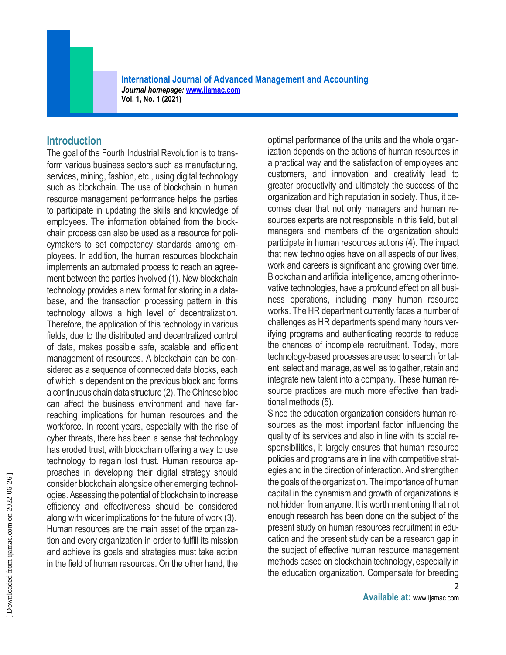**International Journal of Advanced Management and Accounting**  *Journal homepage:* **[www.ijamac.com](http://www.ijamac.com/) Vol. 1, No. 1 (2021)**

#### **Introduction**

The goal of the Fourth Industrial Revolution is to transform various business sectors such as manufacturing, services, mining, fashion, etc., using digital technology such as blockchain. The use of blockchain in human resource management performance helps the parties to participate in updating the skills and knowledge of employees. The information obtained from the blockchain process can also be used as a resource for policymakers to set competency standards among employees. In addition, the human resources blockchain implements an automated process to reach an agreement between the parties involved (1). New blockchain technology provides a new format for storing in a database, and the transaction processing pattern in this technology allows a high level of decentralization. Therefore, the application of this technology in various fields, due to the distributed and decentralized control of data, makes possible safe, scalable and efficient management of resources. A blockchain can be considered as a sequence of connected data blocks, each of which is dependent on the previous block and forms a continuous chain data structure (2). The Chinese bloc can affect the business environment and have farreaching implications for human resources and the workforce. In recent years, especially with the rise of cyber threats, there has been a sense that technology has eroded trust, with blockchain offering a way to use technology to regain lost trust. Human resource approaches in developing their digital strategy should consider blockchain alongside other emerging technologies. Assessing the potential of blockchain to increase efficiency and effectiveness should be considered along with wider implications for the future of work (3). Human resources are the main asset of the organization and every organization in order to fulfill its mission and achieve its goals and strategies must take action in the field of human resources. On the other hand, the

optimal performance of the units and the whole organization depends on the actions of human resources in a practical way and the satisfaction of employees and customers, and innovation and creativity lead to greater productivity and ultimately the success of the organization and high reputation in society. Thus, it becomes clear that not only managers and human resources experts are not responsible in this field, but all managers and members of the organization should participate in human resources actions (4). The impact that new technologies have on all aspects of our lives, work and careers is significant and growing over time. Blockchain and artificial intelligence, among other innovative technologies, have a profound effect on all business operations, including many human resource works. The HR department currently faces a number of challenges as HR departments spend many hours verifying programs and authenticating records to reduce the chances of incomplete recruitment. Today, more technology-based processes are used to search for talent, select and manage, as well as to gather, retain and integrate new talent into a company. These human resource practices are much more effective than traditional methods (5).

Since the education organization considers human resources as the most important factor influencing the quality of its services and also in line with its social responsibilities, it largely ensures that human resource policies and programs are in line with competitive strategies and in the direction of interaction. And strengthen the goals of the organization. The importance of human capital in the dynamism and growth of organizations is not hidden from anyone. It is worth mentioning that not enough research has been done on the subject of the present study on human resources recruitment in education and the present study can be a research gap in the subject of effective human resource management methods based on blockchain technology, especially in the education organization. Compensate for breeding

2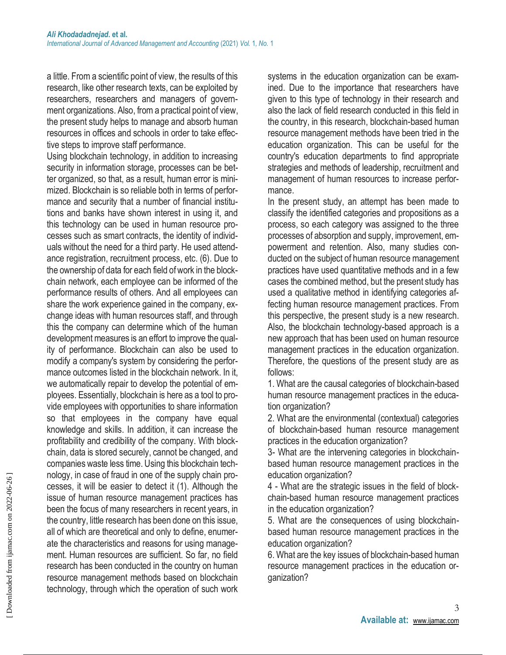a little. From a scientific point of view, the results of this research, like other research texts, can be exploited by researchers, researchers and managers of government organizations. Also, from a practical point of view, the present study helps to manage and absorb human resources in offices and schools in order to take effective steps to improve staff performance.

Using blockchain technology, in addition to increasing security in information storage, processes can be better organized, so that, as a result, human error is minimized. Blockchain is so reliable both in terms of performance and security that a number of financial institutions and banks have shown interest in using it, and this technology can be used in human resource processes such as smart contracts, the identity of individuals without the need for a third party. He used attendance registration, recruitment process, etc. (6). Due to the ownership of data for each field of work in the blockchain network, each employee can be informed of the performance results of others. And all employees can share the work experience gained in the company, exchange ideas with human resources staff, and through this the company can determine which of the human development measures is an effort to improve the quality of performance. Blockchain can also be used to modify a company's system by considering the performance outcomes listed in the blockchain network. In it, we automatically repair to develop the potential of employees. Essentially, blockchain is here as a tool to provide employees with opportunities to share information so that employees in the company have equal knowledge and skills. In addition, it can increase the profitability and credibility of the company. With blockchain, data is stored securely, cannot be changed, and companies waste less time. Using this blockchain technology, in case of fraud in one of the supply chain processes, it will be easier to detect it (1). Although the issue of human resource management practices has been the focus of many researchers in recent years, in the country, little research has been done on this issue, all of which are theoretical and only to define, enumerate the characteristics and reasons for using management. Human resources are sufficient. So far, no field research has been conducted in the country on human resource management methods based on blockchain technology, through which the operation of such work

systems in the education organization can be examined. Due to the importance that researchers have given to this type of technology in their research and also the lack of field research conducted in this field in the country, in this research, blockchain-based human resource management methods have been tried in the education organization. This can be useful for the country's education departments to find appropriate strategies and methods of leadership, recruitment and management of human resources to increase performance.

In the present study, an attempt has been made to classify the identified categories and propositions as a process, so each category was assigned to the three processes of absorption and supply, improvement, empowerment and retention. Also, many studies conducted on the subject of human resource management practices have used quantitative methods and in a few cases the combined method, but the present study has used a qualitative method in identifying categories affecting human resource management practices. From this perspective, the present study is a new research. Also, the blockchain technology-based approach is a new approach that has been used on human resource management practices in the education organization. Therefore, the questions of the present study are as follows:

1. What are the causal categories of blockchain-based human resource management practices in the education organization?

2. What are the environmental (contextual) categories of blockchain-based human resource management practices in the education organization?

3- What are the intervening categories in blockchainbased human resource management practices in the education organization?

4 - What are the strategic issues in the field of blockchain-based human resource management practices in the education organization?

5. What are the consequences of using blockchainbased human resource management practices in the education organization?

6. What are the key issues of blockchain-based human resource management practices in the education organization?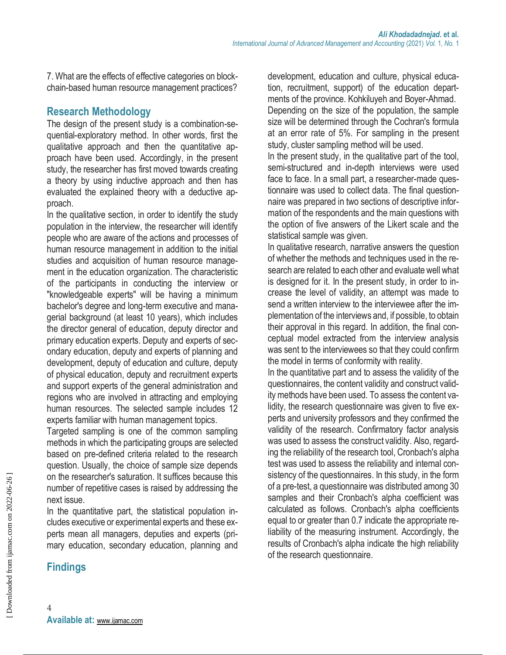7. What are the effects of effective categories on blockchain-based human resource management practices?

### **Research Methodology**

The design of the present study is a combination-sequential-exploratory method. In other words, first the qualitative approach and then the quantitative approach have been used. Accordingly, in the present study, the researcher has first moved towards creating a theory by using inductive approach and then has evaluated the explained theory with a deductive approach.

In the qualitative section, in order to identify the study population in the interview, the researcher will identify people who are aware of the actions and processes of human resource management in addition to the initial studies and acquisition of human resource management in the education organization. The characteristic of the participants in conducting the interview or "knowledgeable experts" will be having a minimum bachelor's degree and long-term executive and managerial background (at least 10 years), which includes the director general of education, deputy director and primary education experts. Deputy and experts of secondary education, deputy and experts of planning and development, deputy of education and culture, deputy of physical education, deputy and recruitment experts and support experts of the general administration and regions who are involved in attracting and employing human resources. The selected sample includes 12 experts familiar with human management topics.

Targeted sampling is one of the common sampling methods in which the participating groups are selected based on pre-defined criteria related to the research question. Usually, the choice of sample size depends on the researcher's saturation. It suffices because this number of repetitive cases is raised by addressing the next issue.

In the quantitative part, the statistical population includes executive or experimental experts and these experts mean all managers, deputies and experts (primary education, secondary education, planning and

# **Findings**

development, education and culture, physical education, recruitment, support) of the education departments of the province. Kohkiluyeh and Boyer-Ahmad. Depending on the size of the population, the sample size will be determined through the Cochran's formula at an error rate of 5%. For sampling in the present study, cluster sampling method will be used.

In the present study, in the qualitative part of the tool, semi-structured and in-depth interviews were used face to face. In a small part, a researcher-made questionnaire was used to collect data. The final questionnaire was prepared in two sections of descriptive information of the respondents and the main questions with the option of five answers of the Likert scale and the statistical sample was given.

In qualitative research, narrative answers the question of whether the methods and techniques used in the research are related to each other and evaluate well what is designed for it. In the present study, in order to increase the level of validity, an attempt was made to send a written interview to the interviewee after the implementation of the interviews and, if possible, to obtain their approval in this regard. In addition, the final conceptual model extracted from the interview analysis was sent to the interviewees so that they could confirm the model in terms of conformity with reality.

In the quantitative part and to assess the validity of the questionnaires, the content validity and construct validity methods have been used. To assess the content validity, the research questionnaire was given to five experts and university professors and they confirmed the validity of the research. Confirmatory factor analysis was used to assess the construct validity. Also, regarding the reliability of the research tool, Cronbach's alpha test was used to assess the reliability and internal consistency of the questionnaires. In this study, in the form of a pre-test, a questionnaire was distributed among 30 samples and their Cronbach's alpha coefficient was calculated as follows. Cronbach's alpha coefficients equal to or greater than 0.7 indicate the appropriate reliability of the measuring instrument. Accordingly, the results of Cronbach's alpha indicate the high reliability of the research questionnaire.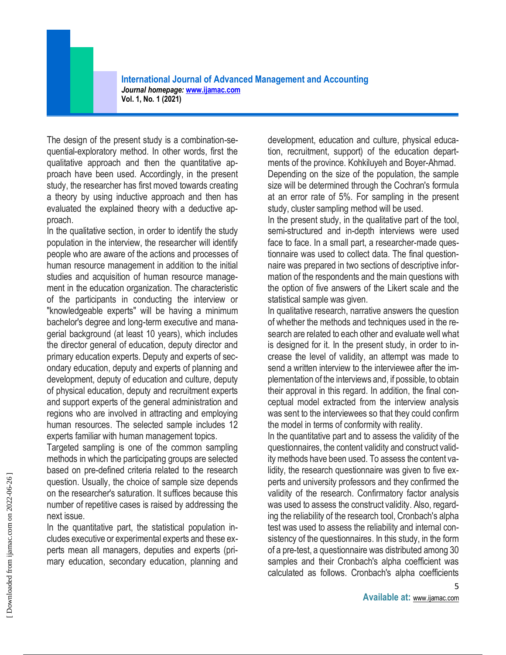**International Journal of Advanced Management and Accounting**  *Journal homepage:* **[www.ijamac.com](http://www.ijamac.com/) Vol. 1, No. 1 (2021)**

The design of the present study is a combination-sequential-exploratory method. In other words, first the qualitative approach and then the quantitative approach have been used. Accordingly, in the present study, the researcher has first moved towards creating a theory by using inductive approach and then has evaluated the explained theory with a deductive approach.

In the qualitative section, in order to identify the study population in the interview, the researcher will identify people who are aware of the actions and processes of human resource management in addition to the initial studies and acquisition of human resource management in the education organization. The characteristic of the participants in conducting the interview or "knowledgeable experts" will be having a minimum bachelor's degree and long-term executive and managerial background (at least 10 years), which includes the director general of education, deputy director and primary education experts. Deputy and experts of secondary education, deputy and experts of planning and development, deputy of education and culture, deputy of physical education, deputy and recruitment experts and support experts of the general administration and regions who are involved in attracting and employing human resources. The selected sample includes 12 experts familiar with human management topics.

Targeted sampling is one of the common sampling methods in which the participating groups are selected based on pre-defined criteria related to the research question. Usually, the choice of sample size depends on the researcher's saturation. It suffices because this number of repetitive cases is raised by addressing the next issue.

In the quantitative part, the statistical population includes executive or experimental experts and these experts mean all managers, deputies and experts (primary education, secondary education, planning and

development, education and culture, physical education, recruitment, support) of the education departments of the province. Kohkiluyeh and Boyer-Ahmad. Depending on the size of the population, the sample size will be determined through the Cochran's formula at an error rate of 5%. For sampling in the present study, cluster sampling method will be used.

In the present study, in the qualitative part of the tool, semi-structured and in-depth interviews were used face to face. In a small part, a researcher-made questionnaire was used to collect data. The final questionnaire was prepared in two sections of descriptive information of the respondents and the main questions with the option of five answers of the Likert scale and the statistical sample was given.

In qualitative research, narrative answers the question of whether the methods and techniques used in the research are related to each other and evaluate well what is designed for it. In the present study, in order to increase the level of validity, an attempt was made to send a written interview to the interviewee after the implementation of the interviews and, if possible, to obtain their approval in this regard. In addition, the final conceptual model extracted from the interview analysis was sent to the interviewees so that they could confirm the model in terms of conformity with reality.

In the quantitative part and to assess the validity of the questionnaires, the content validity and construct validity methods have been used. To assess the content validity, the research questionnaire was given to five experts and university professors and they confirmed the validity of the research. Confirmatory factor analysis was used to assess the construct validity. Also, regarding the reliability of the research tool, Cronbach's alpha test was used to assess the reliability and internal consistency of the questionnaires. In this study, in the form of a pre-test, a questionnaire was distributed among 30 samples and their Cronbach's alpha coefficient was calculated as follows. Cronbach's alpha coefficients

5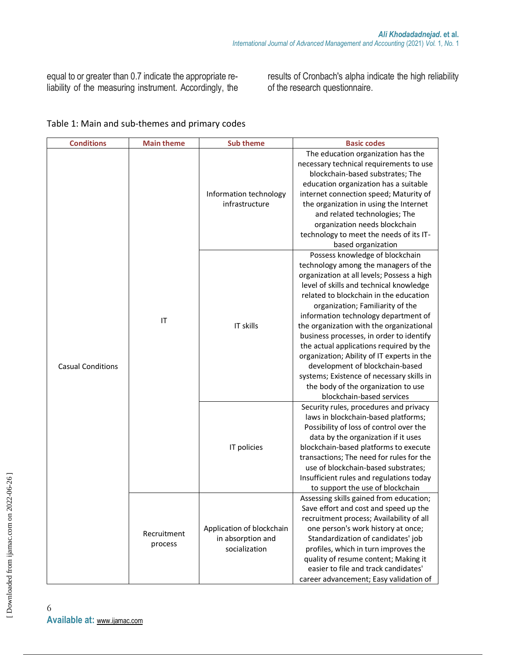equal to or greater than 0.7 indicate the appropriate reliability of the measuring instrument. Accordingly, the results of Cronbach's alpha indicate the high reliability of the research questionnaire.

#### Table 1: Main and sub-themes and primary codes

| <b>Conditions</b>        | <b>Main theme</b>      | <b>Sub theme</b>                                                | <b>Basic codes</b>                                                                                                                                                                                                                                                                                                                                                                                                                                                                                                                                                                                                          |
|--------------------------|------------------------|-----------------------------------------------------------------|-----------------------------------------------------------------------------------------------------------------------------------------------------------------------------------------------------------------------------------------------------------------------------------------------------------------------------------------------------------------------------------------------------------------------------------------------------------------------------------------------------------------------------------------------------------------------------------------------------------------------------|
|                          |                        | Information technology<br>infrastructure                        | The education organization has the<br>necessary technical requirements to use<br>blockchain-based substrates; The<br>education organization has a suitable<br>internet connection speed; Maturity of<br>the organization in using the Internet<br>and related technologies; The<br>organization needs blockchain<br>technology to meet the needs of its IT-<br>based organization                                                                                                                                                                                                                                           |
| <b>Casual Conditions</b> | IT                     | IT skills                                                       | Possess knowledge of blockchain<br>technology among the managers of the<br>organization at all levels; Possess a high<br>level of skills and technical knowledge<br>related to blockchain in the education<br>organization; Familiarity of the<br>information technology department of<br>the organization with the organizational<br>business processes, in order to identify<br>the actual applications required by the<br>organization; Ability of IT experts in the<br>development of blockchain-based<br>systems; Existence of necessary skills in<br>the body of the organization to use<br>blockchain-based services |
|                          |                        | IT policies                                                     | Security rules, procedures and privacy<br>laws in blockchain-based platforms;<br>Possibility of loss of control over the<br>data by the organization if it uses<br>blockchain-based platforms to execute<br>transactions; The need for rules for the<br>use of blockchain-based substrates;<br>Insufficient rules and regulations today<br>to support the use of blockchain                                                                                                                                                                                                                                                 |
|                          | Recruitment<br>process | Application of blockchain<br>in absorption and<br>socialization | Assessing skills gained from education;<br>Save effort and cost and speed up the<br>recruitment process; Availability of all<br>one person's work history at once;<br>Standardization of candidates' job<br>profiles, which in turn improves the<br>quality of resume content; Making it<br>easier to file and track candidates'<br>career advancement; Easy validation of                                                                                                                                                                                                                                                  |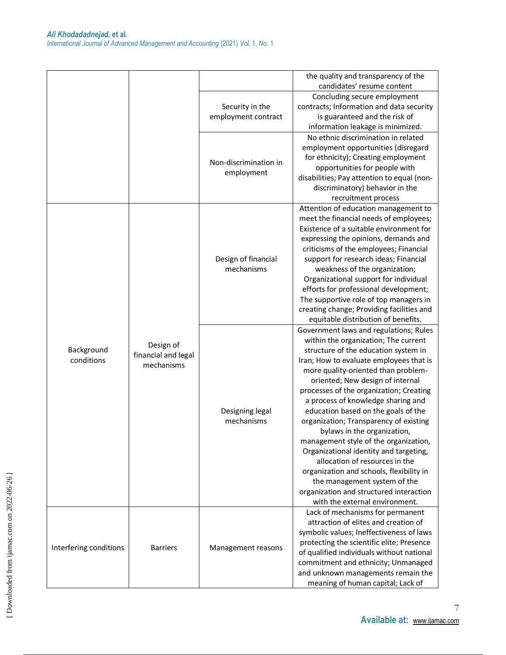|                        |                                  |                       | the quality and transparency of the                                          |
|------------------------|----------------------------------|-----------------------|------------------------------------------------------------------------------|
|                        |                                  |                       | candidates' resume content                                                   |
|                        |                                  |                       | Concluding secure employment                                                 |
|                        |                                  | Security in the       | contracts; Information and data security                                     |
|                        |                                  | employment contract   | is guaranteed and the risk of                                                |
|                        |                                  |                       | information leakage is minimized.                                            |
|                        |                                  |                       | No ethnic discrimination in related                                          |
|                        |                                  |                       | employment opportunities (disregard                                          |
|                        |                                  |                       | for ethnicity); Creating employment                                          |
|                        |                                  | Non-discrimination in | opportunities for people with                                                |
|                        |                                  | employment            | disabilities; Pay attention to equal (non-                                   |
|                        |                                  |                       | discriminatory) behavior in the                                              |
|                        |                                  |                       | recruitment process                                                          |
|                        |                                  |                       | Attention of education management to                                         |
|                        |                                  |                       | meet the financial needs of employees;                                       |
|                        |                                  |                       | Existence of a suitable environment for                                      |
|                        |                                  |                       | expressing the opinions, demands and                                         |
|                        |                                  |                       | criticisms of the employees; Financial                                       |
|                        |                                  | Design of financial   | support for research ideas; Financial                                        |
|                        |                                  | mechanisms            | weakness of the organization;                                                |
|                        |                                  |                       | Organizational support for individual                                        |
|                        | Design of<br>financial and legal |                       | efforts for professional development;                                        |
|                        |                                  |                       | The supportive role of top managers in                                       |
|                        |                                  |                       | creating change; Providing facilities and                                    |
|                        |                                  |                       | equitable distribution of benefits.                                          |
|                        |                                  |                       | Government laws and regulations; Rules                                       |
| Background             |                                  |                       | within the organization; The current<br>structure of the education system in |
| conditions             |                                  |                       | Iran; How to evaluate employees that is                                      |
|                        | mechanisms                       |                       | more quality-oriented than problem-                                          |
|                        |                                  |                       | oriented; New design of internal                                             |
|                        |                                  |                       | processes of the organization; Creating                                      |
|                        |                                  |                       | a process of knowledge sharing and                                           |
|                        |                                  | Designing legal       | education based on the goals of the                                          |
|                        |                                  | mechanisms            | organization; Transparency of existing                                       |
|                        |                                  |                       | bylaws in the organization,                                                  |
|                        |                                  |                       | management style of the organization,                                        |
|                        |                                  |                       | Organizational identity and targeting,                                       |
|                        |                                  |                       | allocation of resources in the                                               |
|                        |                                  |                       | organization and schools, flexibility in                                     |
|                        |                                  |                       | the management system of the                                                 |
|                        |                                  |                       | organization and structured interaction                                      |
|                        |                                  |                       | with the external environment.                                               |
|                        |                                  |                       | Lack of mechanisms for permanent                                             |
|                        |                                  |                       | attraction of elites and creation of                                         |
|                        |                                  |                       | symbolic values; Ineffectiveness of laws                                     |
| Interfering conditions | <b>Barriers</b>                  | Management reasons    | protecting the scientific elite; Presence                                    |
|                        |                                  |                       | of qualified individuals without national                                    |
|                        |                                  |                       | commitment and ethnicity; Unmanaged                                          |
|                        |                                  |                       | and unknown managements remain the<br>meaning of human capital; Lack of      |
|                        |                                  |                       |                                                                              |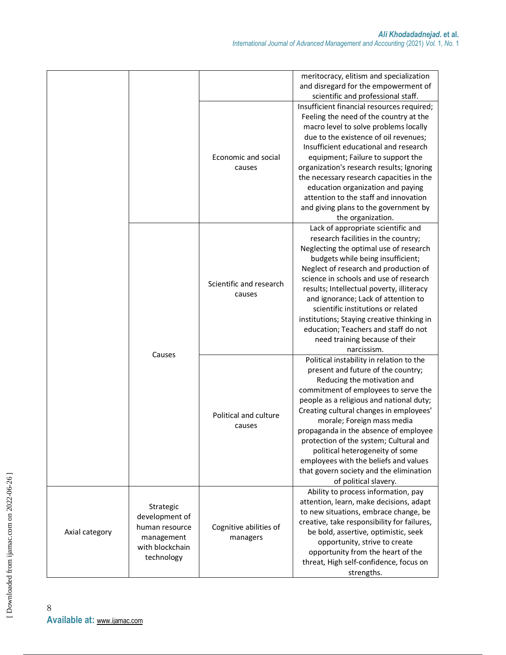|                |                               |                                   | meritocracy, elitism and specialization                                          |
|----------------|-------------------------------|-----------------------------------|----------------------------------------------------------------------------------|
|                |                               |                                   | and disregard for the empowerment of                                             |
|                |                               |                                   | scientific and professional staff.                                               |
|                |                               |                                   | Insufficient financial resources required;                                       |
|                |                               |                                   | Feeling the need of the country at the                                           |
|                |                               |                                   | macro level to solve problems locally                                            |
|                |                               |                                   | due to the existence of oil revenues;                                            |
|                |                               |                                   | Insufficient educational and research                                            |
|                |                               | Economic and social               | equipment; Failure to support the                                                |
|                |                               | causes                            | organization's research results; Ignoring                                        |
|                |                               |                                   | the necessary research capacities in the                                         |
|                |                               |                                   | education organization and paying                                                |
|                |                               |                                   | attention to the staff and innovation                                            |
|                |                               |                                   | and giving plans to the government by                                            |
|                |                               |                                   | the organization.                                                                |
|                |                               |                                   | Lack of appropriate scientific and                                               |
|                |                               |                                   | research facilities in the country;                                              |
|                |                               |                                   | Neglecting the optimal use of research                                           |
|                |                               |                                   | budgets while being insufficient;                                                |
|                |                               |                                   | Neglect of research and production of<br>science in schools and use of research  |
|                |                               | Scientific and research<br>causes |                                                                                  |
|                |                               |                                   | results; Intellectual poverty, illiteracy<br>and ignorance; Lack of attention to |
|                |                               |                                   | scientific institutions or related                                               |
|                |                               |                                   | institutions; Staying creative thinking in                                       |
|                |                               |                                   | education; Teachers and staff do not                                             |
|                |                               |                                   | need training because of their                                                   |
|                |                               |                                   | narcissism.                                                                      |
|                | Causes                        |                                   | Political instability in relation to the                                         |
|                |                               |                                   | present and future of the country;                                               |
|                |                               |                                   | Reducing the motivation and                                                      |
|                |                               |                                   | commitment of employees to serve the                                             |
|                |                               |                                   | people as a religious and national duty;                                         |
|                |                               |                                   | Creating cultural changes in employees'                                          |
|                |                               | Political and culture             | morale; Foreign mass media                                                       |
|                |                               | causes                            | propaganda in the absence of employee                                            |
|                |                               |                                   | protection of the system; Cultural and                                           |
|                |                               |                                   | political heterogeneity of some                                                  |
|                |                               |                                   | employees with the beliefs and values                                            |
|                |                               |                                   | that govern society and the elimination                                          |
|                |                               |                                   | of political slavery.                                                            |
|                |                               |                                   | Ability to process information, pay                                              |
|                |                               |                                   | attention, learn, make decisions, adapt                                          |
|                | Strategic                     |                                   | to new situations, embrace change, be                                            |
|                | development of                |                                   | creative, take responsibility for failures,                                      |
| Axial category | human resource                | Cognitive abilities of            | be bold, assertive, optimistic, seek                                             |
|                | management                    | managers                          | opportunity, strive to create                                                    |
|                | with blockchain<br>technology |                                   | opportunity from the heart of the                                                |
|                |                               |                                   | threat, High self-confidence, focus on                                           |
|                |                               |                                   | strengths.                                                                       |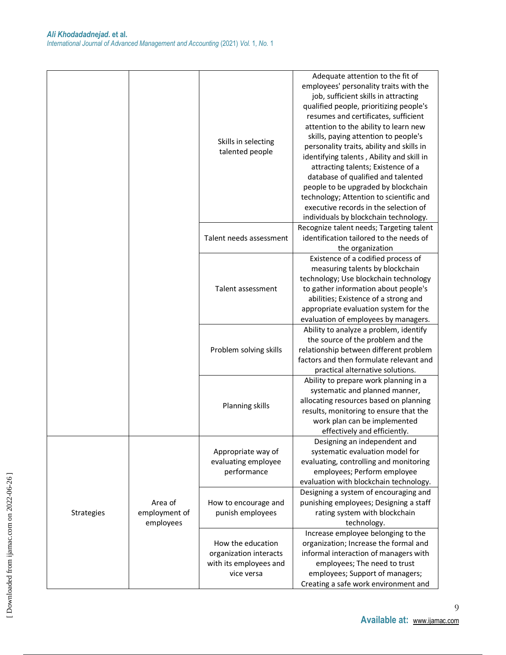|            |               |                         | Adequate attention to the fit of          |
|------------|---------------|-------------------------|-------------------------------------------|
|            |               |                         | employees' personality traits with the    |
|            |               |                         | job, sufficient skills in attracting      |
|            |               |                         | qualified people, prioritizing people's   |
|            |               |                         | resumes and certificates, sufficient      |
|            |               |                         | attention to the ability to learn new     |
|            |               |                         | skills, paying attention to people's      |
|            |               | Skills in selecting     | personality traits, ability and skills in |
|            |               | talented people         | identifying talents, Ability and skill in |
|            |               |                         | attracting talents; Existence of a        |
|            |               |                         | database of qualified and talented        |
|            |               |                         | people to be upgraded by blockchain       |
|            |               |                         | technology; Attention to scientific and   |
|            |               |                         | executive records in the selection of     |
|            |               |                         | individuals by blockchain technology.     |
|            |               |                         | Recognize talent needs; Targeting talent  |
|            |               | Talent needs assessment | identification tailored to the needs of   |
|            |               |                         |                                           |
|            |               |                         | the organization                          |
|            |               |                         | Existence of a codified process of        |
|            |               |                         | measuring talents by blockchain           |
|            |               | Talent assessment       | technology; Use blockchain technology     |
|            |               |                         | to gather information about people's      |
|            |               |                         | abilities; Existence of a strong and      |
|            |               |                         | appropriate evaluation system for the     |
|            |               |                         | evaluation of employees by managers.      |
|            |               |                         | Ability to analyze a problem, identify    |
|            |               |                         | the source of the problem and the         |
|            |               | Problem solving skills  | relationship between different problem    |
|            |               |                         | factors and then formulate relevant and   |
|            |               |                         | practical alternative solutions.          |
|            |               |                         | Ability to prepare work planning in a     |
|            |               |                         | systematic and planned manner,            |
|            |               |                         | allocating resources based on planning    |
|            |               | Planning skills         | results, monitoring to ensure that the    |
|            |               |                         | work plan can be implemented              |
|            |               |                         | effectively and efficiently.              |
|            |               |                         | Designing an independent and              |
|            |               | Appropriate way of      | systematic evaluation model for           |
|            |               | evaluating employee     | evaluating, controlling and monitoring    |
|            |               | performance             | employees; Perform employee               |
|            |               |                         | evaluation with blockchain technology.    |
|            |               |                         | Designing a system of encouraging and     |
| Strategies | Area of       | How to encourage and    | punishing employees; Designing a staff    |
|            | employment of | punish employees        | rating system with blockchain             |
|            | employees     |                         | technology.                               |
|            |               |                         | Increase employee belonging to the        |
|            |               | How the education       | organization; Increase the formal and     |
|            |               | organization interacts  | informal interaction of managers with     |
|            |               | with its employees and  | employees; The need to trust              |
|            |               | vice versa              | employees; Support of managers;           |
|            |               |                         |                                           |
|            |               |                         | Creating a safe work environment and      |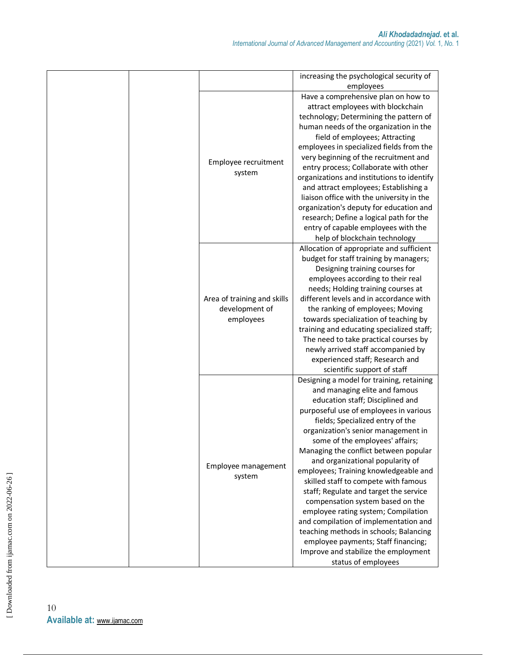|  |                                                            | increasing the psychological security of   |
|--|------------------------------------------------------------|--------------------------------------------|
|  |                                                            | employees                                  |
|  |                                                            | Have a comprehensive plan on how to        |
|  |                                                            | attract employees with blockchain          |
|  |                                                            | technology; Determining the pattern of     |
|  |                                                            | human needs of the organization in the     |
|  |                                                            | field of employees; Attracting             |
|  |                                                            | employees in specialized fields from the   |
|  |                                                            | very beginning of the recruitment and      |
|  | Employee recruitment                                       |                                            |
|  | system                                                     | entry process; Collaborate with other      |
|  |                                                            | organizations and institutions to identify |
|  |                                                            | and attract employees; Establishing a      |
|  |                                                            | liaison office with the university in the  |
|  |                                                            | organization's deputy for education and    |
|  |                                                            | research; Define a logical path for the    |
|  |                                                            | entry of capable employees with the        |
|  |                                                            | help of blockchain technology              |
|  |                                                            | Allocation of appropriate and sufficient   |
|  |                                                            | budget for staff training by managers;     |
|  |                                                            | Designing training courses for             |
|  |                                                            | employees according to their real          |
|  |                                                            | needs; Holding training courses at         |
|  | Area of training and skills<br>development of<br>employees | different levels and in accordance with    |
|  |                                                            | the ranking of employees; Moving           |
|  |                                                            |                                            |
|  |                                                            | towards specialization of teaching by      |
|  |                                                            | training and educating specialized staff;  |
|  |                                                            | The need to take practical courses by      |
|  |                                                            | newly arrived staff accompanied by         |
|  |                                                            | experienced staff; Research and            |
|  |                                                            | scientific support of staff                |
|  |                                                            | Designing a model for training, retaining  |
|  |                                                            | and managing elite and famous              |
|  |                                                            | education staff; Disciplined and           |
|  |                                                            | purposeful use of employees in various     |
|  |                                                            | fields; Specialized entry of the           |
|  |                                                            | organization's senior management in        |
|  |                                                            | some of the employees' affairs;            |
|  |                                                            | Managing the conflict between popular      |
|  |                                                            | and organizational popularity of           |
|  | Employee management                                        | employees; Training knowledgeable and      |
|  | system                                                     | skilled staff to compete with famous       |
|  |                                                            |                                            |
|  |                                                            | staff; Regulate and target the service     |
|  |                                                            | compensation system based on the           |
|  |                                                            | employee rating system; Compilation        |
|  |                                                            | and compilation of implementation and      |
|  |                                                            | teaching methods in schools; Balancing     |
|  |                                                            | employee payments; Staff financing;        |
|  |                                                            | Improve and stabilize the employment       |
|  |                                                            | status of employees                        |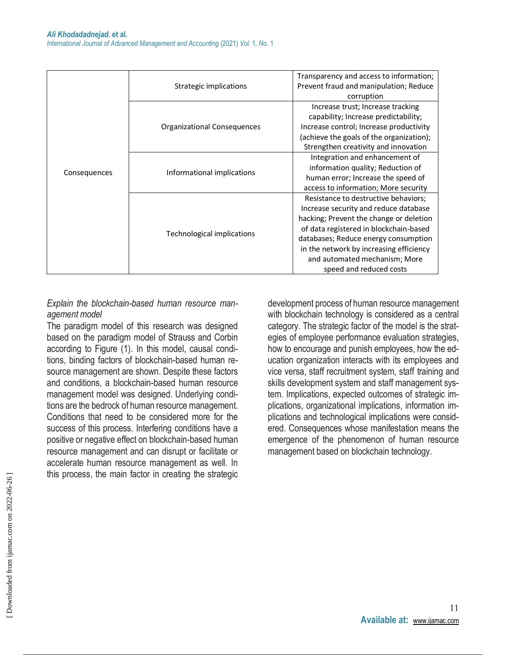| Consequences | Strategic implications      | Transparency and access to information;<br>Prevent fraud and manipulation; Reduce<br>corruption                                                                                                                                                                                                                   |
|--------------|-----------------------------|-------------------------------------------------------------------------------------------------------------------------------------------------------------------------------------------------------------------------------------------------------------------------------------------------------------------|
|              | Organizational Consequences | Increase trust; Increase tracking<br>capability; Increase predictability;<br>Increase control; Increase productivity<br>(achieve the goals of the organization);<br>Strengthen creativity and innovation                                                                                                          |
|              | Informational implications  | Integration and enhancement of<br>information quality; Reduction of<br>human error; Increase the speed of<br>access to information; More security                                                                                                                                                                 |
|              | Technological implications  | Resistance to destructive behaviors;<br>Increase security and reduce database<br>hacking; Prevent the change or deletion<br>of data registered in blockchain-based<br>databases; Reduce energy consumption<br>in the network by increasing efficiency<br>and automated mechanism; More<br>speed and reduced costs |

#### *Explain the blockchain-based human resource management model*

The paradigm model of this research was designed based on the paradigm model of Strauss and Corbin according to Figure (1). In this model, causal conditions, binding factors of blockchain-based human resource management are shown. Despite these factors and conditions, a blockchain-based human resource management model was designed. Underlying conditions are the bedrock of human resource management. Conditions that need to be considered more for the success of this process. Interfering conditions have a positive or negative effect on blockchain-based human resource management and can disrupt or facilitate or accelerate human resource management as well. In this process, the main factor in creating the strategic

development process of human resource management with blockchain technology is considered as a central category. The strategic factor of the model is the strategies of employee performance evaluation strategies, how to encourage and punish employees, how the education organization interacts with its employees and vice versa, staff recruitment system, staff training and skills development system and staff management system. Implications, expected outcomes of strategic implications, organizational implications, information implications and technological implications were considered. Consequences whose manifestation means the emergence of the phenomenon of human resource management based on blockchain technology.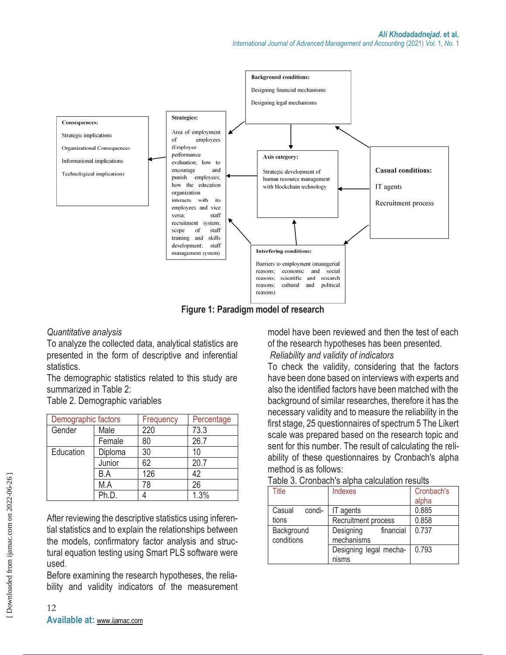

**Figure 1: Paradigm model of research**

*Quantitative analysis*

To analyze the collected data, analytical statistics are presented in the form of descriptive and inferential statistics.

The demographic statistics related to this study are summarized in Table 2:

Table 2. Demographic variables

| Demographic factors |         | Frequency | Percentage |
|---------------------|---------|-----------|------------|
| Gender              | Male    | 220       | 73.3       |
|                     | Female  | 80        | 26.7       |
| Education           | Diploma | 30        | 10         |
|                     | Junior  | 62        | 20.7       |
|                     | B.A     | 126       | 42         |
| M.A<br>Ph.D.        |         | 78        | 26         |
|                     |         |           | $1.3\%$    |

After reviewing the descriptive statistics using inferential statistics and to explain the relationships between the models, confirmatory factor analysis and structural equation testing using Smart PLS software were used.

Before examining the research hypotheses, the reliability and validity indicators of the measurement model have been reviewed and then the test of each of the research hypotheses has been presented.

*Reliability and validity of indicators*

To check the validity, considering that the factors have been done based on interviews with experts and also the identified factors have been matched with the background of similar researches, therefore it has the necessary validity and to measure the reliability in the first stage, 25 questionnaires of spectrum 5 The Likert scale was prepared based on the research topic and sent for this number. The result of calculating the reliability of these questionnaires by Cronbach's alpha method is as follows:

| Table 3. Cronbach's alpha calculation results |  |  |  |
|-----------------------------------------------|--|--|--|
|                                               |  |  |  |

| Title                    | Indexes                              | Cronbach's<br>alpha |
|--------------------------|--------------------------------------|---------------------|
| Casual<br>condi-         | IT agents                            | 0.885               |
| tions                    | Recruitment process                  | 0.858               |
| Background<br>conditions | Designing<br>financial<br>mechanisms | 0.737               |
|                          | Designing legal mecha-<br>nisms      |                     |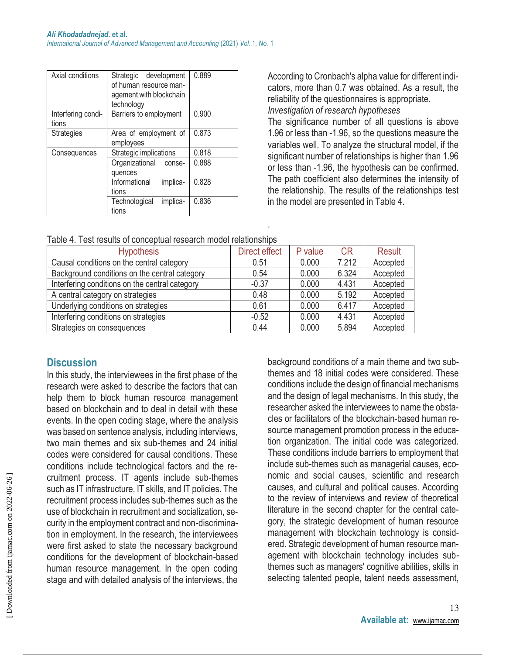| Axial conditions            | Strategic development<br>of human resource man-<br>agement with blockchain<br>technology | 0.889 |
|-----------------------------|------------------------------------------------------------------------------------------|-------|
| Interfering condi-<br>tions | Barriers to employment                                                                   | 0.900 |
| <b>Strategies</b>           | Area of employment of<br>employees                                                       | 0.873 |
| Consequences                | Strategic implications                                                                   | 0.818 |
|                             | Organizational<br>conse-<br>quences                                                      | 0.888 |
|                             | Informational<br>implica-<br>tions                                                       | 0.828 |
|                             | implica-<br>Technological<br>tions                                                       | 0.836 |

According to Cronbach's alpha value for different indicators, more than 0.7 was obtained. As a result, the reliability of the questionnaires is appropriate. *Investigation of research hypotheses*

The significance number of all questions is above 1.96 or less than -1.96, so the questions measure the variables well. To analyze the structural model, if the significant number of relationships is higher than 1.96 or less than -1.96, the hypothesis can be confirmed. The path coefficient also determines the intensity of the relationship. The results of the relationships test in the model are presented in Table 4.

| Table 4. Test results of conceptual research model relationships |  |  |
|------------------------------------------------------------------|--|--|
|                                                                  |  |  |

| <b>Hypothesis</b>                              | Direct effect | P value | <b>CR</b> | Result   |
|------------------------------------------------|---------------|---------|-----------|----------|
| Causal conditions on the central category      | 0.51          | 0.000   | 7.212     | Accepted |
| Background conditions on the central category  | 0.54          | 0.000   | 6.324     | Accepted |
| Interfering conditions on the central category | $-0.37$       | 0.000   | 4.431     | Accepted |
| A central category on strategies               | 0.48          | 0.000   | 5.192     | Accepted |
| Underlying conditions on strategies            | 0.61          | 0.000   | 6.417     | Accepted |
| Interfering conditions on strategies           | $-0.52$       | 0.000   | 4.431     | Accepted |
| Strategies on consequences                     | 0.44          | 0.000   | 5.894     | Accepted |

.

### **Discussion**

In this study, the interviewees in the first phase of the research were asked to describe the factors that can help them to block human resource management based on blockchain and to deal in detail with these events. In the open coding stage, where the analysis was based on sentence analysis, including interviews, two main themes and six sub-themes and 24 initial codes were considered for causal conditions. These conditions include technological factors and the recruitment process. IT agents include sub-themes such as IT infrastructure, IT skills, and IT policies. The recruitment process includes sub-themes such as the use of blockchain in recruitment and socialization, security in the employment contract and non-discrimination in employment. In the research, the interviewees were first asked to state the necessary background conditions for the development of blockchain-based human resource management. In the open coding stage and with detailed analysis of the interviews, the

background conditions of a main theme and two subthemes and 18 initial codes were considered. These conditions include the design of financial mechanisms and the design of legal mechanisms. In this study, the researcher asked the interviewees to name the obstacles or facilitators of the blockchain-based human resource management promotion process in the education organization. The initial code was categorized. These conditions include barriers to employment that include sub-themes such as managerial causes, economic and social causes, scientific and research causes, and cultural and political causes. According to the review of interviews and review of theoretical literature in the second chapter for the central category, the strategic development of human resource management with blockchain technology is considered. Strategic development of human resource management with blockchain technology includes subthemes such as managers' cognitive abilities, skills in selecting talented people, talent needs assessment,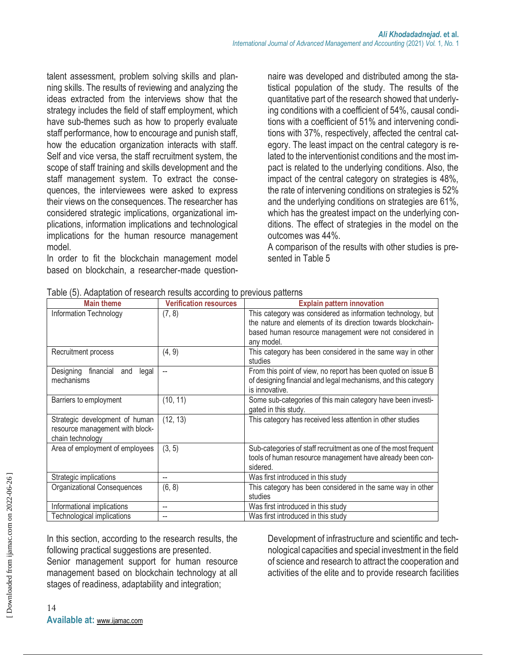talent assessment, problem solving skills and planning skills. The results of reviewing and analyzing the ideas extracted from the interviews show that the strategy includes the field of staff employment, which have sub-themes such as how to properly evaluate staff performance, how to encourage and punish staff, how the education organization interacts with staff. Self and vice versa, the staff recruitment system, the scope of staff training and skills development and the staff management system. To extract the consequences, the interviewees were asked to express their views on the consequences. The researcher has considered strategic implications, organizational implications, information implications and technological implications for the human resource management model.

In order to fit the blockchain management model based on blockchain, a researcher-made questionnaire was developed and distributed among the statistical population of the study. The results of the quantitative part of the research showed that underlying conditions with a coefficient of 54%, causal conditions with a coefficient of 51% and intervening conditions with 37%, respectively, affected the central category. The least impact on the central category is related to the interventionist conditions and the most impact is related to the underlying conditions. Also, the impact of the central category on strategies is 48%, the rate of intervening conditions on strategies is 52% and the underlying conditions on strategies are 61%, which has the greatest impact on the underlying conditions. The effect of strategies in the model on the outcomes was 44%.

A comparison of the results with other studies is presented in Table 5

| <b>Main theme</b>                                                                     | <b>Verification resources</b> | <b>Explain pattern innovation</b>                                                                                                                                                                   |
|---------------------------------------------------------------------------------------|-------------------------------|-----------------------------------------------------------------------------------------------------------------------------------------------------------------------------------------------------|
| Information Technology                                                                | (7, 8)                        | This category was considered as information technology, but<br>the nature and elements of its direction towards blockchain-<br>based human resource management were not considered in<br>any model. |
| Recruitment process                                                                   | (4, 9)                        | This category has been considered in the same way in other<br>studies                                                                                                                               |
| Designing financial<br>and<br>legal<br>mechanisms                                     |                               | From this point of view, no report has been quoted on issue B<br>of designing financial and legal mechanisms, and this category<br>is innovative.                                                   |
| Barriers to employment                                                                | (10, 11)                      | Some sub-categories of this main category have been investi-<br>gated in this study.                                                                                                                |
| Strategic development of human<br>resource management with block-<br>chain technology | (12, 13)                      | This category has received less attention in other studies                                                                                                                                          |
| Area of employment of employees                                                       | (3, 5)                        | Sub-categories of staff recruitment as one of the most frequent<br>tools of human resource management have already been con-<br>sidered.                                                            |
| Strategic implications                                                                |                               | Was first introduced in this study                                                                                                                                                                  |
| Organizational Consequences                                                           | (6, 8)                        | This category has been considered in the same way in other<br>studies                                                                                                                               |
| Informational implications                                                            |                               | Was first introduced in this study                                                                                                                                                                  |
| Technological implications                                                            |                               | Was first introduced in this study                                                                                                                                                                  |

|  | Table (5). Adaptation of research results according to previous patterns |  |  |  |
|--|--------------------------------------------------------------------------|--|--|--|
|  |                                                                          |  |  |  |

In this section, according to the research results, the following practical suggestions are presented. Senior management support for human resource management based on blockchain technology at all stages of readiness, adaptability and integration;

Development of infrastructure and scientific and technological capacities and special investment in the field of science and research to attract the cooperation and activities of the elite and to provide research facilities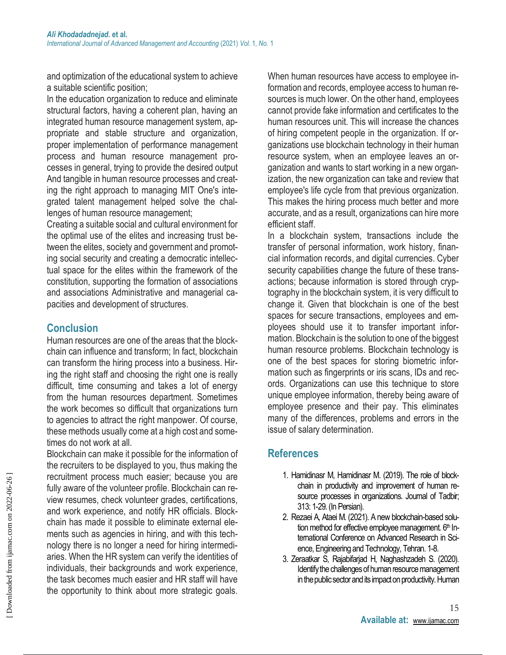and optimization of the educational system to achieve a suitable scientific position;

In the education organization to reduce and eliminate structural factors, having a coherent plan, having an integrated human resource management system, appropriate and stable structure and organization, proper implementation of performance management process and human resource management processes in general, trying to provide the desired output And tangible in human resource processes and creating the right approach to managing MIT One's integrated talent management helped solve the challenges of human resource management;

Creating a suitable social and cultural environment for the optimal use of the elites and increasing trust between the elites, society and government and promoting social security and creating a democratic intellectual space for the elites within the framework of the constitution, supporting the formation of associations and associations Administrative and managerial capacities and development of structures.

# **Conclusion**

Human resources are one of the areas that the blockchain can influence and transform; In fact, blockchain can transform the hiring process into a business. Hiring the right staff and choosing the right one is really difficult, time consuming and takes a lot of energy from the human resources department. Sometimes the work becomes so difficult that organizations turn to agencies to attract the right manpower. Of course, these methods usually come at a high cost and sometimes do not work at all.

Blockchain can make it possible for the information of the recruiters to be displayed to you, thus making the recruitment process much easier; because you are fully aware of the volunteer profile. Blockchain can review resumes, check volunteer grades, certifications, and work experience, and notify HR officials. Blockchain has made it possible to eliminate external elements such as agencies in hiring, and with this technology there is no longer a need for hiring intermediaries. When the HR system can verify the identities of individuals, their backgrounds and work experience, the task becomes much easier and HR staff will have the opportunity to think about more strategic goals.

When human resources have access to employee information and records, employee access to human resources is much lower. On the other hand, employees cannot provide fake information and certificates to the human resources unit. This will increase the chances of hiring competent people in the organization. If organizations use blockchain technology in their human resource system, when an employee leaves an organization and wants to start working in a new organization, the new organization can take and review that employee's life cycle from that previous organization. This makes the hiring process much better and more accurate, and as a result, organizations can hire more efficient staff.

In a blockchain system, transactions include the transfer of personal information, work history, financial information records, and digital currencies. Cyber security capabilities change the future of these transactions; because information is stored through cryptography in the blockchain system, it is very difficult to change it. Given that blockchain is one of the best spaces for secure transactions, employees and employees should use it to transfer important information. Blockchain is the solution to one of the biggest human resource problems. Blockchain technology is one of the best spaces for storing biometric information such as fingerprints or iris scans, IDs and records. Organizations can use this technique to store unique employee information, thereby being aware of employee presence and their pay. This eliminates many of the differences, problems and errors in the issue of salary determination.

# **References**

- 1. Hamidinasr M, Hamidinasr M. (2019). The role of blockchain in productivity and improvement of human resource processes in organizations. Journal of Tadbir; 313: 1-29. (In Persian).
- 2. Rezaei A, Ataei M. (2021). A new blockchain-based solution method for effective employee management. 6th International Conference on Advanced Research in Science, Engineering and Technology, Tehran. 1-8.
- 3. Zeraatkar S, Rajabifarjad H, Naghashzadeh S. (2020). Identify the challenges of human resource management in the public sector and its impact on productivity. Human